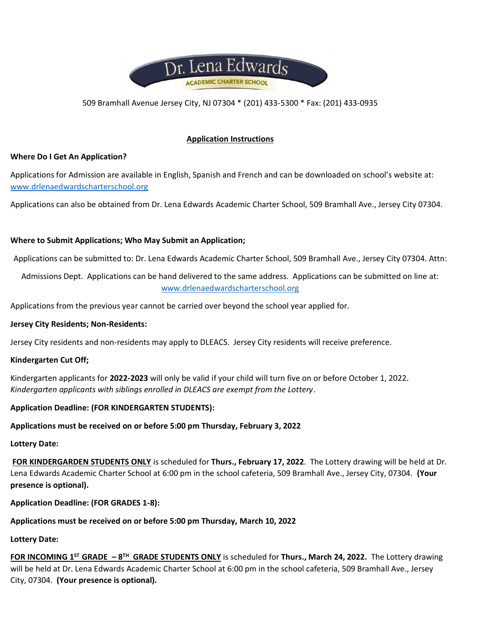

#### 509 Bramhall Avenue Jersey City, NJ 07304 \* (201) 433-5300 \* Fax: (201) 433-0935

# **Application Instructions**

#### **Where Do I Get An Application?**

Applications for Admission are available in English, Spanish and French and can be downloaded on school's website at: [www.drlenaedwardscharterschool.org](http://www.drlenaedwardscharterschool.org/)

Applications can also be obtained from Dr. Lena Edwards Academic Charter School, 509 Bramhall Ave., Jersey City 07304.

## **Where to Submit Applications; Who May Submit an Application;**

Applications can be submitted to: Dr. Lena Edwards Academic Charter School, 509 Bramhall Ave., Jersey City 07304. Attn:

Admissions Dept. Applications can be hand delivered to the same address. Applications can be submitted on line at: [www.drlenaedwardscharterschool.org](http://www.drlenaedwardscharterschool.org/)

Applications from the previous year cannot be carried over beyond the school year applied for.

#### **Jersey City Residents; Non-Residents:**

Jersey City residents and non-residents may apply to DLEACS. Jersey City residents will receive preference.

#### **Kindergarten Cut Off;**

Kindergarten applicants for **2022-2023** will only be valid if your child will turn five on or before October 1, 2022. *Kindergarten applicants with siblings enrolled in DLEACS are exempt from the Lottery*.

#### **Application Deadline: (FOR KINDERGARTEN STUDENTS):**

#### **Applications must be received on or before 5:00 pm Thursday, February 3, 2022**

#### **Lottery Date:**

**FOR KINDERGARDEN STUDENTS ONLY** is scheduled for **Thurs., February 17, 2022**. The Lottery drawing will be held at Dr. Lena Edwards Academic Charter School at 6:00 pm in the school cafeteria, 509 Bramhall Ave., Jersey City, 07304. **(Your presence is optional).**

**Application Deadline: (FOR GRADES 1-8):**

#### **Applications must be received on or before 5:00 pm Thursday, March 10, 2022**

#### **Lottery Date:**

**FOR INCOMING 1ST GRADE – 8 TH GRADE STUDENTS ONLY** is scheduled for **Thurs., March 24, 2022.** The Lottery drawing will be held at Dr. Lena Edwards Academic Charter School at 6:00 pm in the school cafeteria, 509 Bramhall Ave., Jersey City, 07304. **(Your presence is optional).**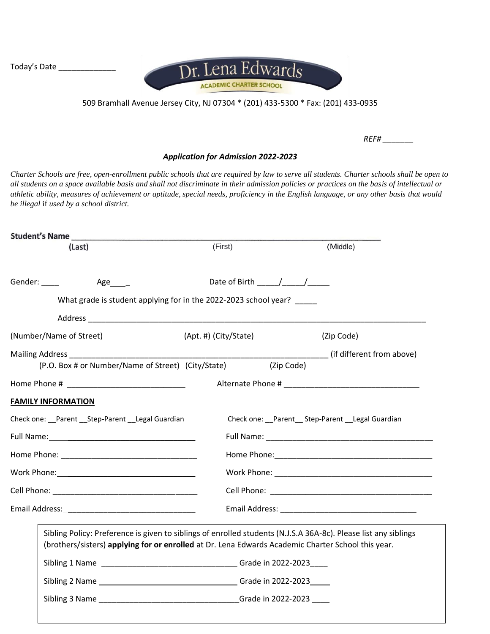



509 Bramhall Avenue Jersey City, NJ 07304 \* (201) 433-5300 \* Fax: (201) 433-0935

## *Application for Admission 2022-2023*

*Charter Schools are free, open-enrollment public schools that are required by law to serve all students. Charter schools shall be open to all students on a space available basis and shall not discriminate in their admission policies or practices on the basis of intellectual or athletic ability, measures of achievement or aptitude, special needs, proficiency in the English language, or any other basis that would be illegal* if *used by a school district.*

| Student's Name                                     |                                                                                                                                                                                                                                                                                                                                                                                                                    |                                                                                                                 |
|----------------------------------------------------|--------------------------------------------------------------------------------------------------------------------------------------------------------------------------------------------------------------------------------------------------------------------------------------------------------------------------------------------------------------------------------------------------------------------|-----------------------------------------------------------------------------------------------------------------|
| (Last)                                             | (First)                                                                                                                                                                                                                                                                                                                                                                                                            | (Middle)                                                                                                        |
| Gender: _____<br>$Age$ <sub>_______</sub>          | Date of Birth $\frac{1}{\sqrt{1-\frac{1}{2}}}\frac{1}{\sqrt{1-\frac{1}{2}}}\frac{1}{\sqrt{1-\frac{1}{2}}}\frac{1}{\sqrt{1-\frac{1}{2}}}\frac{1}{\sqrt{1-\frac{1}{2}}}\frac{1}{\sqrt{1-\frac{1}{2}}}\frac{1}{\sqrt{1-\frac{1}{2}}}\frac{1}{\sqrt{1-\frac{1}{2}}}\frac{1}{\sqrt{1-\frac{1}{2}}}\frac{1}{\sqrt{1-\frac{1}{2}}}\frac{1}{\sqrt{1-\frac{1}{2}}}\frac{1}{\sqrt{1-\frac{1}{2}}}\frac{1}{\sqrt{1-\frac{1}{$ |                                                                                                                 |
|                                                    | What grade is student applying for in the 2022-2023 school year?                                                                                                                                                                                                                                                                                                                                                   |                                                                                                                 |
|                                                    |                                                                                                                                                                                                                                                                                                                                                                                                                    |                                                                                                                 |
| (Number/Name of Street)                            | (Apt. #) (City/State)                                                                                                                                                                                                                                                                                                                                                                                              | (Zip Code)                                                                                                      |
| Mailing Address Management and Communications      |                                                                                                                                                                                                                                                                                                                                                                                                                    | (if different from above)                                                                                       |
|                                                    | (P.O. Box # or Number/Name of Street) (City/State)                                                                                                                                                                                                                                                                                                                                                                 | (Zip Code)                                                                                                      |
|                                                    |                                                                                                                                                                                                                                                                                                                                                                                                                    |                                                                                                                 |
| <b>FAMILY INFORMATION</b>                          |                                                                                                                                                                                                                                                                                                                                                                                                                    |                                                                                                                 |
| Check one: __Parent __Step-Parent __Legal Guardian |                                                                                                                                                                                                                                                                                                                                                                                                                    | Check one: Parent Step-Parent Legal Guardian                                                                    |
|                                                    |                                                                                                                                                                                                                                                                                                                                                                                                                    |                                                                                                                 |
|                                                    |                                                                                                                                                                                                                                                                                                                                                                                                                    |                                                                                                                 |
|                                                    |                                                                                                                                                                                                                                                                                                                                                                                                                    |                                                                                                                 |
|                                                    |                                                                                                                                                                                                                                                                                                                                                                                                                    |                                                                                                                 |
|                                                    |                                                                                                                                                                                                                                                                                                                                                                                                                    |                                                                                                                 |
|                                                    | (brothers/sisters) applying for or enrolled at Dr. Lena Edwards Academic Charter School this year.                                                                                                                                                                                                                                                                                                                 | Sibling Policy: Preference is given to siblings of enrolled students (N.J.S.A 36A-8c). Please list any siblings |
|                                                    |                                                                                                                                                                                                                                                                                                                                                                                                                    |                                                                                                                 |
|                                                    |                                                                                                                                                                                                                                                                                                                                                                                                                    |                                                                                                                 |
|                                                    |                                                                                                                                                                                                                                                                                                                                                                                                                    |                                                                                                                 |